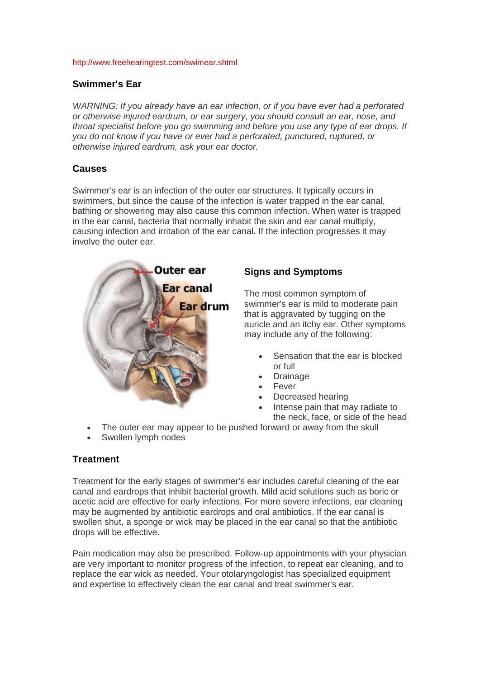#### http://www.freehearingtest.com/swimear.shtml

#### **Swimmer's Ear**

*WARNING: If you already have an ear infection, or if you have ever had a perforated or otherwise injured eardrum, or ear surgery, you should consult an ear, nose, and throat specialist before you go swimming and before you use any type of ear drops. If you do not know if you have or ever had a perforated, punctured, ruptured, or otherwise injured eardrum, ask your ear doctor.* 

#### **Causes**

Swimmer's ear is an infection of the outer ear structures. It typically occurs in swimmers, but since the cause of the infection is water trapped in the ear canal, bathing or showering may also cause this common infection. When water is trapped in the ear canal, bacteria that normally inhabit the skin and ear canal multiply, causing infection and irritation of the ear canal. If the infection progresses it may involve the outer ear.



## **Signs and Symptoms**

The most common symptom of swimmer's ear is mild to moderate pain that is aggravated by tugging on the auricle and an itchy ear. Other symptoms may include any of the following:

- Sensation that the ear is blocked or full
- Drainage
- Fever
- Decreased hearing
- Intense pain that may radiate to the neck, face, or side of the head
- The outer ear may appear to be pushed forward or away from the skull
- Swollen lymph nodes

## **Treatment**

Treatment for the early stages of swimmer's ear includes careful cleaning of the ear canal and eardrops that inhibit bacterial growth. Mild acid solutions such as boric or acetic acid are effective for early infections. For more severe infections, ear cleaning may be augmented by antibiotic eardrops and oral antibiotics. If the ear canal is swollen shut, a sponge or wick may be placed in the ear canal so that the antibiotic drops will be effective.

Pain medication may also be prescribed. Follow-up appointments with your physician are very important to monitor progress of the infection, to repeat ear cleaning, and to replace the ear wick as needed. Your otolaryngologist has specialized equipment and expertise to effectively clean the ear canal and treat swimmer's ear.